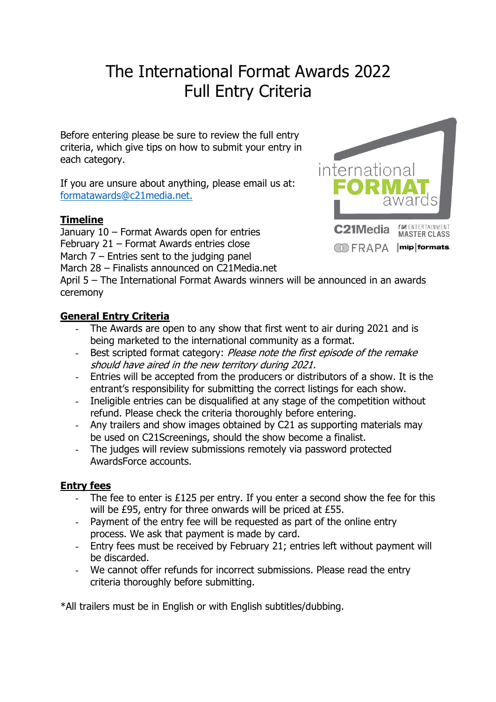# The International Format Awards 2022 Full Entry Criteria

Before entering please be sure to review the full entry criteria, which give tips on how to submit your entry in each category.

If you are unsure about anything, please email us at: formatawards@c21media.net.

# **Timeline**

January 10 – Format Awards open for entries February 21 – Format Awards entries close March  $7$  – Entries sent to the judging panel

March 28 – Finalists announced on C21Media.net

April 5 – The International Format Awards winners will be announced in an awards ceremony

# **General Entry Criteria**

- The Awards are open to any show that first went to air during 2021 and is being marketed to the international community as a format.
- Best scripted format category: Please note the first episode of the remake should have aired in the new territory during 2021.
- Entries will be accepted from the producers or distributors of a show. It is the entrant's responsibility for submitting the correct listings for each show.
- Ineligible entries can be disqualified at any stage of the competition without refund. Please check the criteria thoroughly before entering.
- Any trailers and show images obtained by C21 as supporting materials may be used on C21Screenings, should the show become a finalist.
- The judges will review submissions remotely via password protected AwardsForce accounts.

# **Entry fees**

- The fee to enter is  $£125$  per entry. If you enter a second show the fee for this will be £95, entry for three onwards will be priced at £55.
- Payment of the entry fee will be requested as part of the online entry process. We ask that payment is made by card.
- Entry fees must be received by February 21; entries left without payment will be discarded.
- We cannot offer refunds for incorrect submissions. Please read the entry criteria thoroughly before submitting.

\*All trailers must be in English or with English subtitles/dubbing.

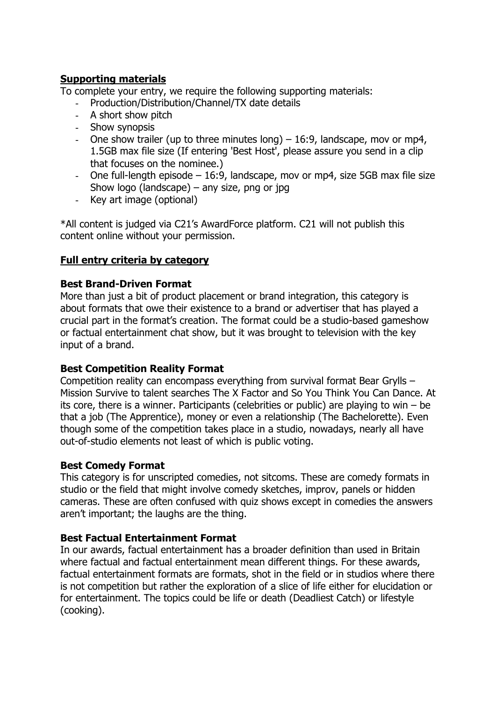## **Supporting materials**

To complete your entry, we require the following supporting materials:

- Production/Distribution/Channel/TX date details
- A short show pitch
- Show synopsis
- One show trailer (up to three minutes long)  $-16:9$ , landscape, mov or mp4, 1.5GB max file size (If entering 'Best Host', please assure you send in a clip that focuses on the nominee.)
- One full-length episode 16:9, landscape, mov or mp4, size 5GB max file size Show logo (landscape) – any size, png or jpg
- Key art image (optional)

\*All content is judged via C21's AwardForce platform. C21 will not publish this content online without your permission.

## **Full entry criteria by category**

## **Best Brand-Driven Format**

More than just a bit of product placement or brand integration, this category is about formats that owe their existence to a brand or advertiser that has played a crucial part in the format's creation. The format could be a studio-based gameshow or factual entertainment chat show, but it was brought to television with the key input of a brand.

## **Best Competition Reality Format**

Competition reality can encompass everything from survival format Bear Grylls – Mission Survive to talent searches The X Factor and So You Think You Can Dance. At its core, there is a winner. Participants (celebrities or public) are playing to win – be that a job (The Apprentice), money or even a relationship (The Bachelorette). Even though some of the competition takes place in a studio, nowadays, nearly all have out-of-studio elements not least of which is public voting.

## **Best Comedy Format**

This category is for unscripted comedies, not sitcoms. These are comedy formats in studio or the field that might involve comedy sketches, improv, panels or hidden cameras. These are often confused with quiz shows except in comedies the answers aren't important; the laughs are the thing.

## **Best Factual Entertainment Format**

In our awards, factual entertainment has a broader definition than used in Britain where factual and factual entertainment mean different things. For these awards, factual entertainment formats are formats, shot in the field or in studios where there is not competition but rather the exploration of a slice of life either for elucidation or for entertainment. The topics could be life or death (Deadliest Catch) or lifestyle (cooking).